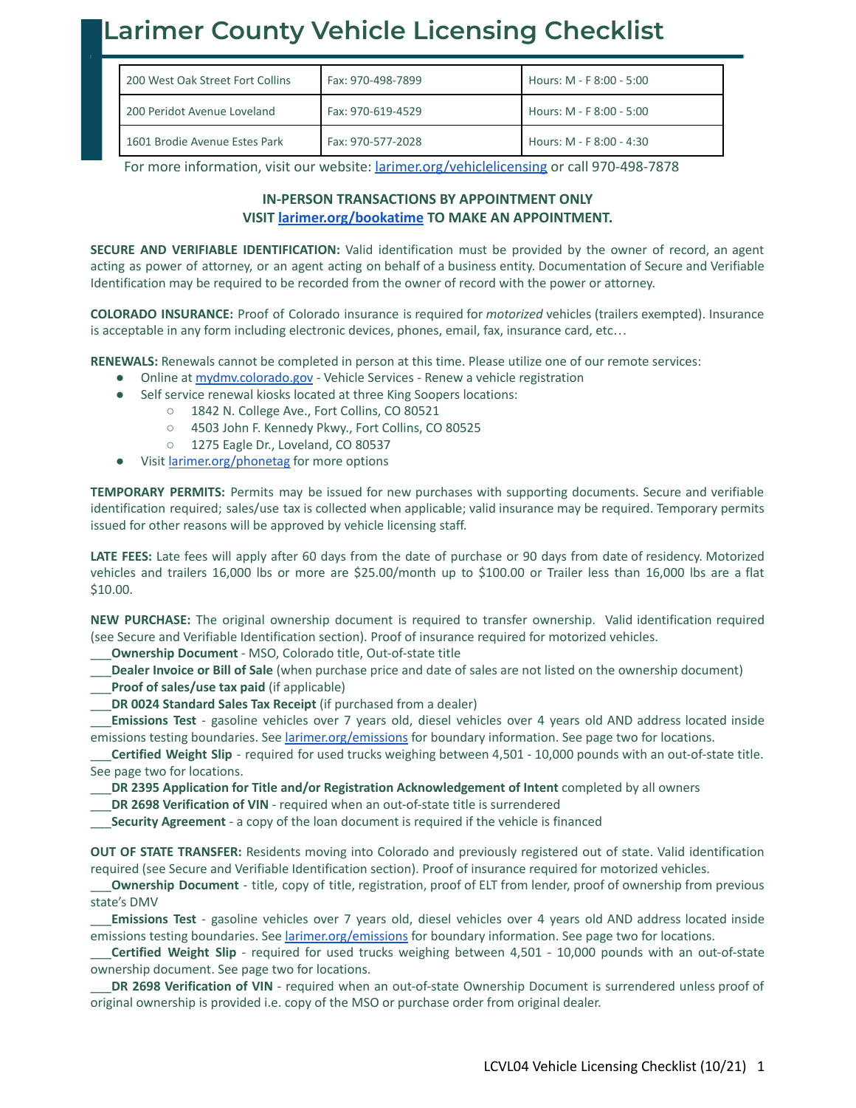# **Larimer County Vehicle Licensing Checklist**

| 200 West Oak Street Fort Collins | Fax: 970-498-7899 | Hours: M - F 8:00 - 5:00 |
|----------------------------------|-------------------|--------------------------|
| 200 Peridot Avenue Loveland      | Fax: 970-619-4529 | Hours: M - F 8:00 - 5:00 |
| 1601 Brodie Avenue Estes Park    | Fax: 970-577-2028 | Hours: M - F 8:00 - 4:30 |

For more information, visit our website: [larimer.org/vehiclelicensing](http://www.larimer.org/vehiclelicensing) or call 970-498-7878

## **IN-PERSON TRANSACTIONS BY APPOINTMENT ONLY VISIT [larimer.org/bookatime](http://www.larimer.org/bookatime) TO MAKE AN APPOINTMENT.**

**SECURE AND VERIFIABLE IDENTIFICATION:** Valid identification must be provided by the owner of record, an agent acting as power of attorney, or an agent acting on behalf of a business entity. Documentation of Secure and Verifiable Identification may be required to be recorded from the owner of record with the power or attorney.

**COLORADO INSURANCE:** Proof of Colorado insurance is required for *motorized* vehicles (trailers exempted). Insurance is acceptable in any form including electronic devices, phones, email, fax, insurance card, etc…

**RENEWALS:** Renewals cannot be completed in person at this time. Please utilize one of our remote services:

- Online at [mydmv.colorado.gov](http://www.mydmv.colorado.gov) Vehicle Services Renew a vehicle registration
- Self service renewal kiosks located at three King Soopers locations:
	- 1842 N. College Ave., Fort Collins, CO 80521
	- 4503 John F. Kennedy Pkwy., Fort Collins, CO 80525
	- 1275 Eagle Dr., Loveland, CO 80537
- Visit [larimer.org/phonetag](http://www.larimer.org/phonetag) for more options

**TEMPORARY PERMITS:** Permits may be issued for new purchases with supporting documents. Secure and verifiable identification required; sales/use tax is collected when applicable; valid insurance may be required. Temporary permits issued for other reasons will be approved by vehicle licensing staff.

**LATE FEES:** Late fees will apply after 60 days from the date of purchase or 90 days from date of residency. Motorized vehicles and trailers 16,000 lbs or more are \$25.00/month up to \$100.00 or Trailer less than 16,000 lbs are a flat \$10.00.

**NEW PURCHASE:** The original ownership document is required to transfer ownership. Valid identification required (see Secure and Verifiable Identification section). Proof of insurance required for motorized vehicles.

\_\_\_**Ownership Document** - MSO, Colorado title, Out-of-state title

\_\_\_**Dealer Invoice or Bill of Sale** (when purchase price and date of sales are not listed on the ownership document)

\_\_\_**Proof of sales/use tax paid** (if applicable)

\_\_\_**DR 0024 Standard Sales Tax Receipt** (if purchased from a dealer)

\_\_\_**Emissions Test** - gasoline vehicles over 7 years old, diesel vehicles over 4 years old AND address located inside emissions testing boundaries. See *[larimer.org/emissions](http://www.larimer.org/emissions)* for boundary information. See page two for locations.

\_\_\_**Certified Weight Slip** - required for used trucks weighing between 4,501 - 10,000 pounds with an out-of-state title. See page two for locations.

- \_\_\_**DR 2395 Application for Title and/or Registration Acknowledgement of Intent** completed by all owners
- \_\_\_**DR 2698 Verification of VIN** required when an out-of-state title is surrendered
- \_\_\_**Security Agreement** a copy of the loan document is required if the vehicle is financed

**OUT OF STATE TRANSFER:** Residents moving into Colorado and previously registered out of state. Valid identification required (see Secure and Verifiable Identification section). Proof of insurance required for motorized vehicles.

\_\_\_**Ownership Document** - title, copy of title, registration, proof of ELT from lender, proof of ownership from previous state's DMV

\_\_\_**Emissions Test** - gasoline vehicles over 7 years old, diesel vehicles over 4 years old AND address located inside emissions testing boundaries. See *[larimer.org/emissions](http://www.larimer.org/emissions)* for boundary information. See page two for locations.

\_\_\_**Certified Weight Slip** - required for used trucks weighing between 4,501 - 10,000 pounds with an out-of-state ownership document. See page two for locations.

\_\_\_**DR 2698 Verification of VIN** - required when an out-of-state Ownership Document is surrendered unless proof of original ownership is provided i.e. copy of the MSO or purchase order from original dealer.